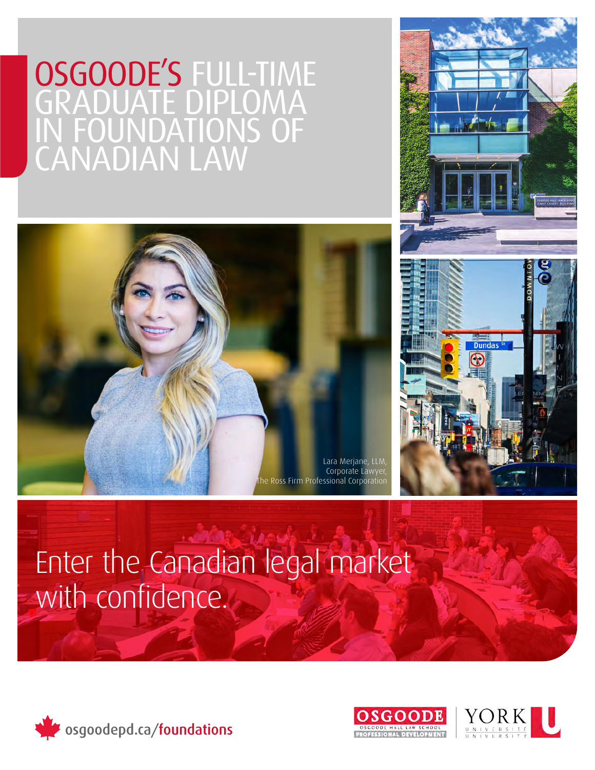## OSGOODE'S FULL-TIME GRADUATE DIPLOMA IN FOUNDATIONS OF CANADIAN LAW





# Enter the Canadian legal market with confidence.





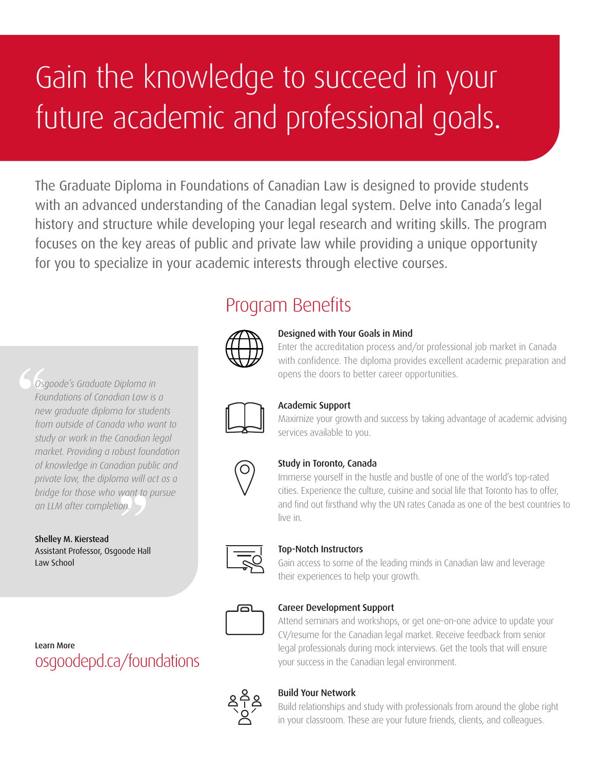# Gain the knowledge to succeed in your future academic and professional goals.

The Graduate Diploma in Foundations of Canadian Law is designed to provide students with an advanced understanding of the Canadian legal system. Delve into Canada's legal history and structure while developing your legal research and writing skills. The program focuses on the key areas of public and private law while providing a unique opportunity for you to specialize in your academic interests through elective courses.

### Program Benefits



#### Designed with Your Goals in Mind

Enter the accreditation process and/or professional job market in Canada with confidence. The diploma provides excellent academic preparation and opens the doors to better career opportunities.



#### Academic Support

Maximize your growth and success by taking advantage of academic advising services available to you.



#### Study in Toronto, Canada

Immerse yourself in the hustle and bustle of one of the world's top-rated cities. Experience the culture, cuisine and social life that Toronto has to offer, and find out firsthand why the UN rates Canada as one of the best countries to live in.



#### Top-Notch Instructors

Gain access to some of the leading minds in Canadian law and leverage their experiences to help your growth.



#### Career Development Support

Attend seminars and workshops, or get one-on-one advice to update your CV/resume for the Canadian legal market. Receive feedback from senior legal professionals during mock interviews. Get the tools that will ensure your success in the Canadian legal environment.



#### Build Your Network

Build relationships and study with professionals from around the globe right in your classroom. These are your future friends, clients, and colleagues.

*Osgoode's Graduate Diploma in Foundations of Canadian Law is a new graduate diploma for students from outside of Canada who want to study or work in the Canadian legal market. Providing a robust foundation of knowledge in Canadian public and private law, the diploma will act as a bridge for those who want to pursue an LLM after completion.*

Shelley M. Kierstead Assistant Professor, Osgoode Hall Law School

Learn More [osgoodepd.ca/foundations](www.osgoodepd.ca/foundations)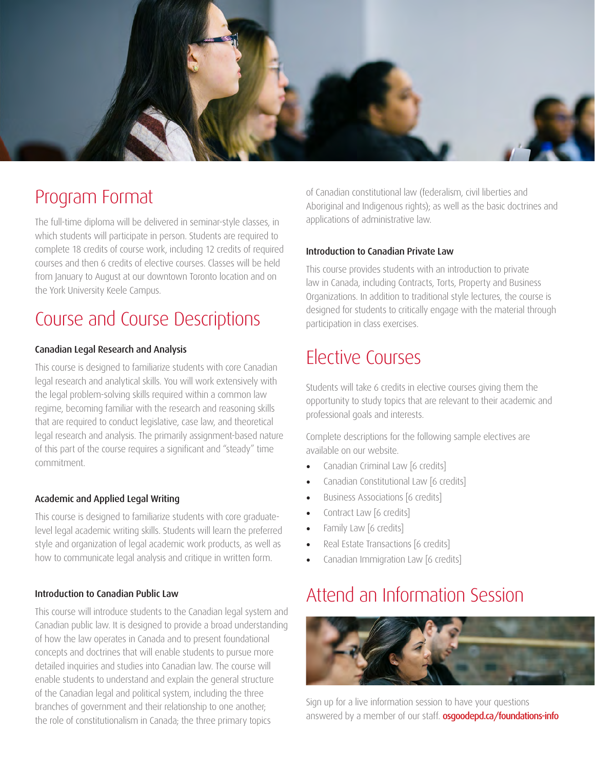

### Program Format

The full-time diploma will be delivered in seminar-style classes, in which students will participate in person. Students are required to complete 18 credits of course work, including 12 credits of required courses and then 6 credits of elective courses. Classes will be held from January to August at our downtown Toronto location and on the York University Keele Campus.

### Course and Course Descriptions

#### Canadian Legal Research and Analysis

This course is designed to familiarize students with core Canadian legal research and analytical skills. You will work extensively with the legal problem-solving skills required within a common law regime, becoming familiar with the research and reasoning skills that are required to conduct legislative, case law, and theoretical legal research and analysis. The primarily assignment-based nature of this part of the course requires a significant and "steady" time commitment.

#### Academic and Applied Legal Writing

This course is designed to familiarize students with core graduatelevel legal academic writing skills. Students will learn the preferred style and organization of legal academic work products, as well as how to communicate legal analysis and critique in written form.

#### Introduction to Canadian Public Law

This course will introduce students to the Canadian legal system and Canadian public law. It is designed to provide a broad understanding of how the law operates in Canada and to present foundational concepts and doctrines that will enable students to pursue more detailed inquiries and studies into Canadian law. The course will enable students to understand and explain the general structure of the Canadian legal and political system, including the three branches of government and their relationship to one another; the role of constitutionalism in Canada; the three primary topics

of Canadian constitutional law (federalism, civil liberties and Aboriginal and Indigenous rights); as well as the basic doctrines and applications of administrative law.

#### Introduction to Canadian Private Law

This course provides students with an introduction to private law in Canada, including Contracts, Torts, Property and Business Organizations. In addition to traditional style lectures, the course is designed for students to critically engage with the material through participation in class exercises.

### Elective Courses

Students will take 6 credits in elective courses giving them the opportunity to study topics that are relevant to their academic and professional goals and interests.

Complete descriptions for the following sample electives are available on our website.

- Canadian Criminal Law [6 credits]
- Canadian Constitutional Law [6 credits]
- Business Associations [6 credits]
- Contract Law [6 credits]
- Family Law [6 credits]
- Real Estate Transactions [6 credits]
- Canadian Immigration Law [6 credits]

### [Attend an Information Session](www.osgoodepd.ca/foundations-info)



Sign up for a live information session to have your questions answered by a member of our staff. **osgoodepd.ca/foundations-info**